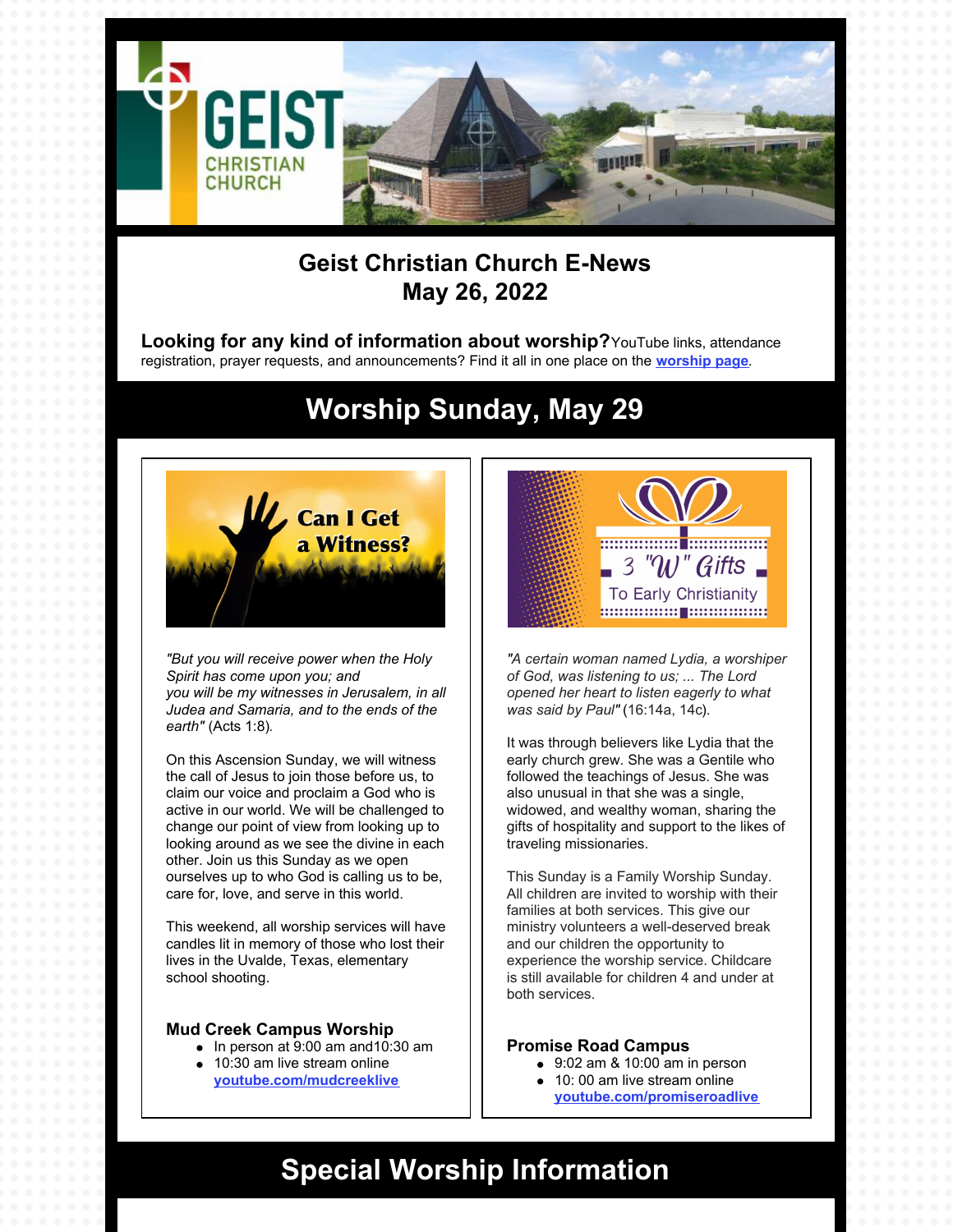

### **Geist Christian Church E-News May 26, 2022**

**Looking for any kind of information about worship?**YouTube links, attendance registration, prayer requests, and announcements? Find it all in one place on the **[worship](https://geistchristian.org/worship-at-geist-christian-church/) page**.

## **Worship Sunday, May 29**



*"But you will receive power when the Holy Spirit has come upon you; and you will be my witnesses in Jerusalem, in all Judea and Samaria, and to the ends of the earth"* (Acts 1:8).

On this Ascension Sunday, we will witness the call of Jesus to join those before us, to claim our voice and proclaim a God who is active in our world. We will be challenged to change our point of view from looking up to looking around as we see the divine in each other. Join us this Sunday as we open ourselves up to who God is calling us to be, care for, love, and serve in this world.

This weekend, all worship services will have candles lit in memory of those who lost their lives in the Uvalde, Texas, elementary school shooting.

#### **Mud Creek Campus Worship**

- $\bullet$  In person at 9:00 am and 10:30 am
- 10:30 am live stream online **[youtube.com/mudcreeklive](https://www.youtube.com/mudcreeklive)**



*"A certain woman named Lydia, a worshiper of God, was listening to us; ... The Lord opened her heart to listen eagerly to what was said by Paul"* (16:14a, 14c).

It was through believers like Lydia that the early church grew. She was a Gentile who followed the teachings of Jesus. She was also unusual in that she was a single, widowed, and wealthy woman, sharing the gifts of hospitality and support to the likes of traveling missionaries.

This Sunday is a Family Worship Sunday. All children are invited to worship with their families at both services. This give our ministry volunteers a well-deserved break and our children the opportunity to experience the worship service. Childcare is still available for children 4 and under at both services.

#### **Promise Road Campus**

- $\bullet$  9:02 am & 10:00 am in person
- 10: 00 am live stream online **[youtube.com/promiseroadlive](http://youtube.com/promiseroadlive)**

### **Special Worship Information**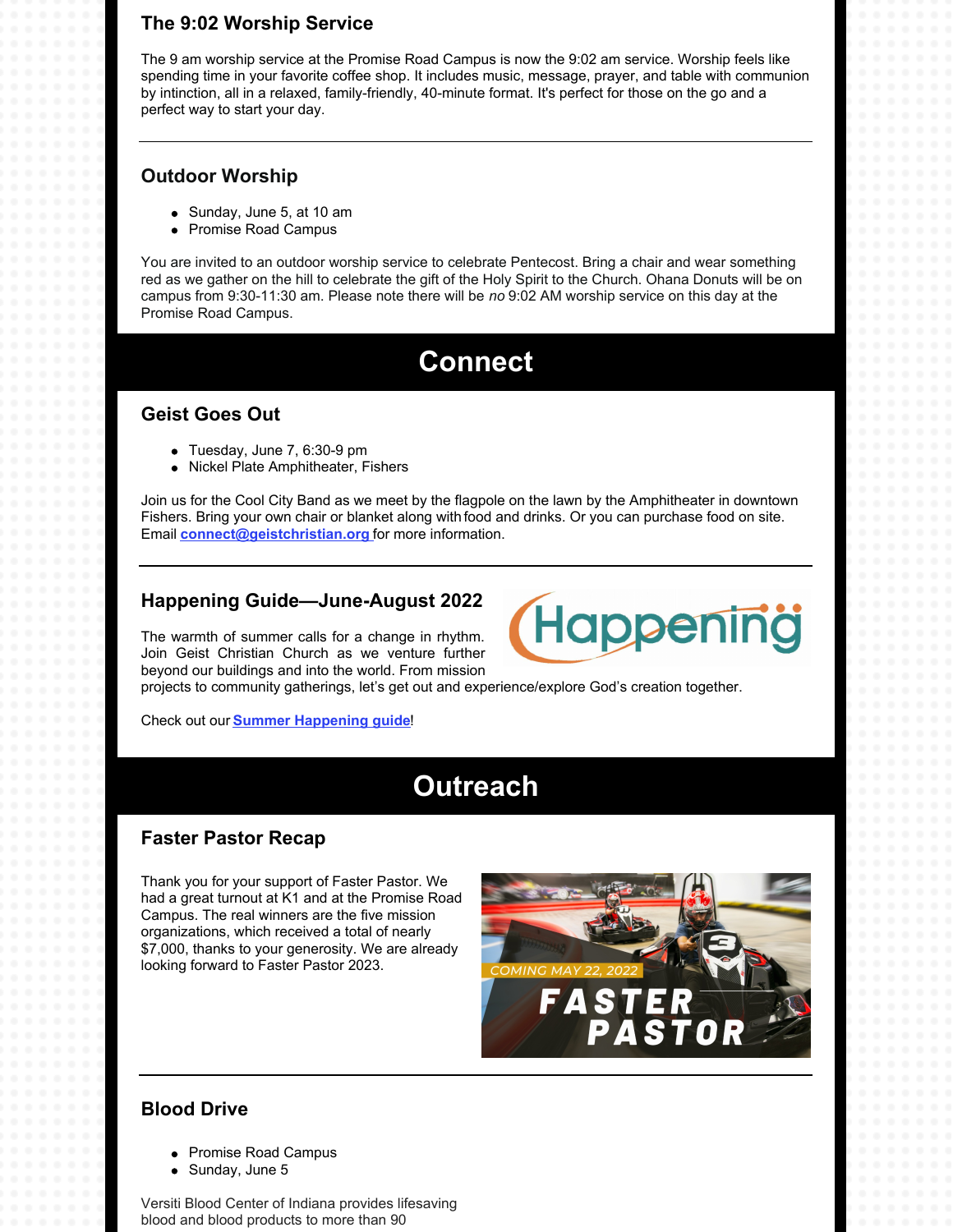### **The 9:02 Worship Service**

The 9 am worship service at the Promise Road Campus is now the 9:02 am service. Worship feels like spending time in your favorite coffee shop. It includes music, message, prayer, and table with communion by intinction, all in a relaxed, family-friendly, 40-minute format. It's perfect for those on the go and a perfect way to start your day.

#### **Outdoor Worship**

- Sunday, June 5, at 10 am
- Promise Road Campus

You are invited to an outdoor worship service to celebrate Pentecost. Bring a chair and wear something red as we gather on the hill to celebrate the gift of the Holy Spirit to the Church. Ohana Donuts will be on campus from 9:30-11:30 am. Please note there will be *no* 9:02 AM worship service on this day at the Promise Road Campus.

### **Connect**

#### **Geist Goes Out**

- Tuesday, June 7, 6:30-9 pm
- Nickel Plate Amphitheater, Fishers

Join us for the Cool City Band as we meet by the flagpole on the lawn by the Amphitheater in downtown Fishers. Bring your own chair or blanket along with food and drinks. Or you can purchase food on site. Email **[connect@geistchristian.org](mailto:connect@geistchristian.org)** for more information.

#### **Happening Guide—June-August 2022**

The warmth of summer calls for a change in rhythm. Join Geist Christian Church as we venture further beyond our buildings and into the world. From mission



projects to community gatherings, let's get out and experience/explore God's creation together.

Check out our **Summer [Happening](https://geistchristian.org/wp-content/uploads/2022/05/Summer-Happenings-Guide-2022.pdf) guide**!

## **Outreach**

### **Faster Pastor Recap**

Thank you for your support of Faster Pastor. We had a great turnout at K1 and at the Promise Road Campus. The real winners are the five mission organizations, which received a total of nearly \$7,000, thanks to your generosity. We are already looking forward to Faster Pastor 2023.



### **Blood Drive**

- Promise Road Campus
- Sunday, June 5

Versiti Blood Center of Indiana provides lifesaving blood and blood products to more than 90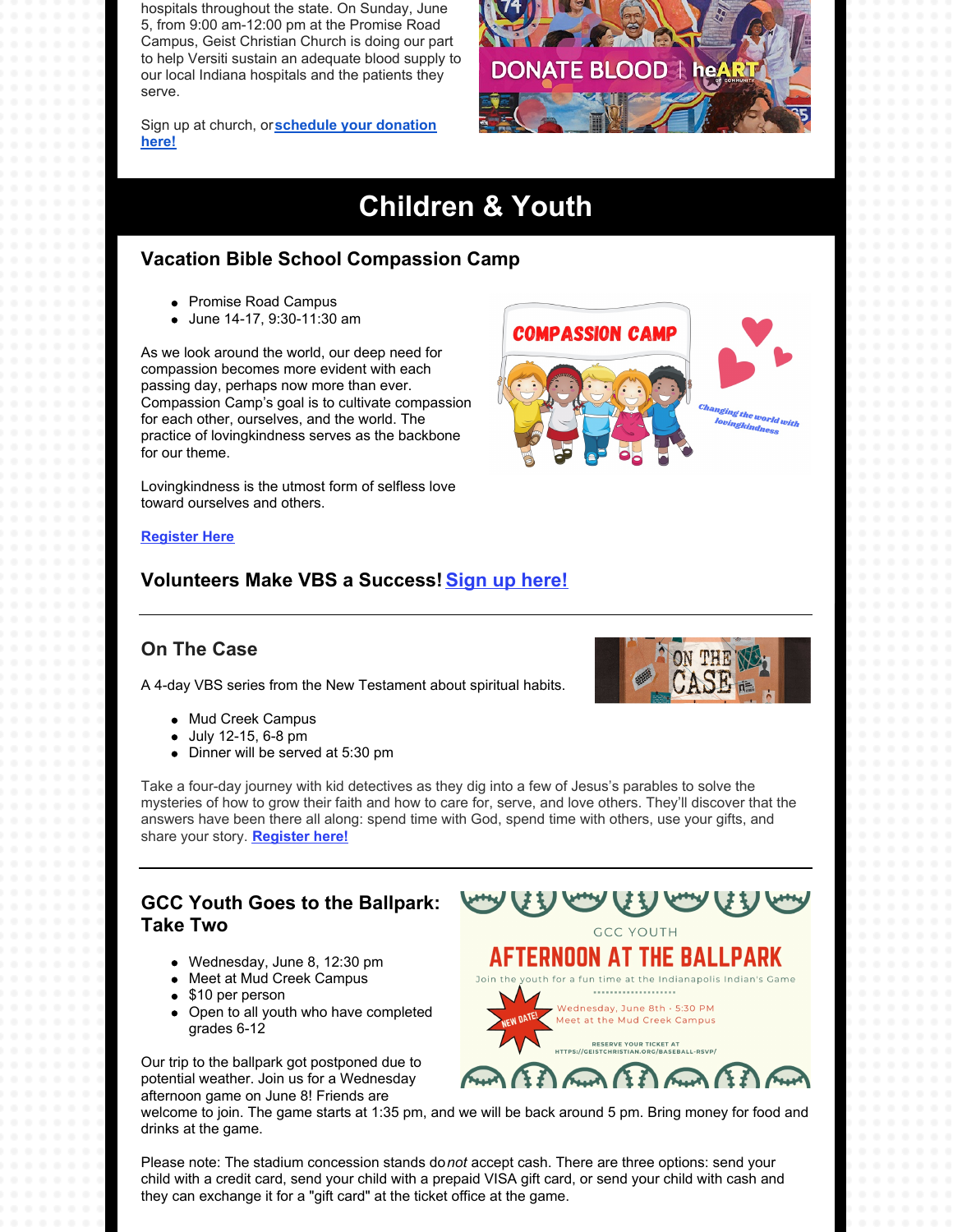hospitals throughout the state. On Sunday, June 5, from 9:00 am-12:00 pm at the Promise Road Campus, Geist Christian Church is doing our part to help Versiti sustain an adequate blood supply to our local Indiana hospitals and the patients they serve.

Sign up at church, or**[schedule](https://donate.indiana.versiti.org/donor/schedules/drive_schedule/154605) your donation here!**

# **Children & Youth**

**DONATE BLO** 

### **Vacation Bible School Compassion Camp**

- Promise Road Campus
- June 14-17, 9:30-11:30 am

As we look around the world, our deep need for compassion becomes more evident with each passing day, perhaps now more than ever. Compassion Camp's goal is to cultivate compassion for each other, ourselves, and the world. The practice of lovingkindness serves as the backbone for our theme.

Lovingkindness is the utmost form of selfless love toward ourselves and others.



 $\mathsf{OD} \mathrel{\dagger} \mathsf{he}$ 

#### **[Register](http://geistchristian.org/2022-vbs/) Here**

### **Volunteers Make VBS a Success! Sign up [here!](https://geistchristian.shelbynextchms.com/external/form/b3b6e3d9-785c-4140-89a1-7cfeb0edeff9)**

### **On The Case**

A 4-day VBS series from the New Testament about spiritual habits.

- Mud Creek Campus
- July 12-15, 6-8 pm
- Dinner will be served at 5:30 pm



# **Take Two**

- Wednesday, June 8, 12:30 pm
- Meet at Mud Creek Campus
- \$10 per person
- Open to all youth who have completed grades 6-12

Our trip to the ballpark got postponed due to potential weather. Join us for a Wednesday afternoon game on June 8! Friends are



welcome to join. The game starts at 1:35 pm, and we will be back around 5 pm. Bring money for food and drinks at the game.

Please note: The stadium concession stands do*not* accept cash. There are three options: send your child with a credit card, send your child with a prepaid VISA gift card, or send your child with cash and they can exchange it for a "gift card" at the ticket office at the game.